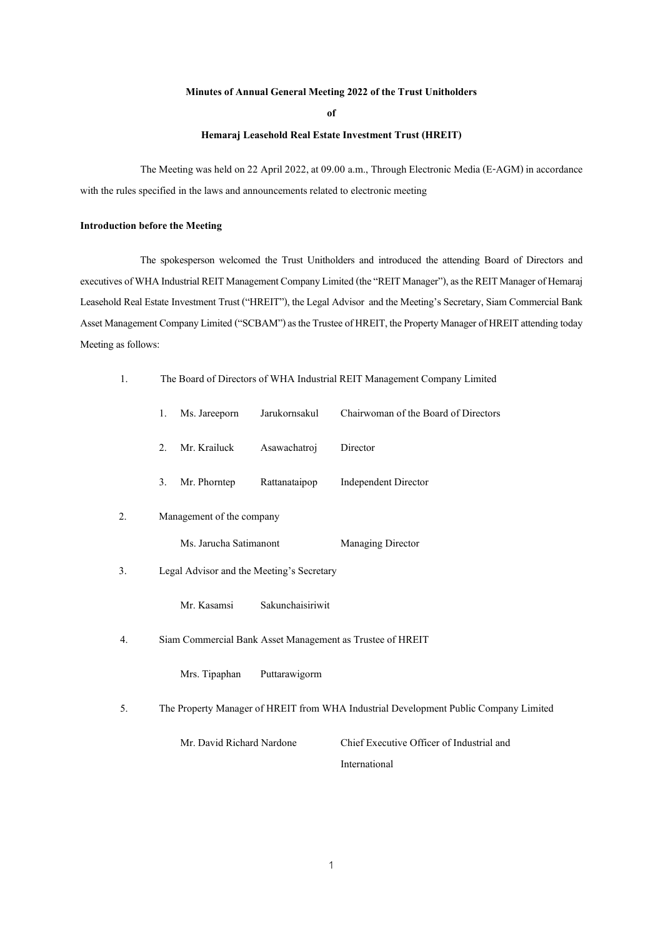## **Minutes of Annual General Meeting 2022 of the Trust Unitholders**

**of**

## **Hemaraj Leasehold Real Estate Investment Trust (HREIT)**

The Meeting was held on 22 April 2022, at 09.00 a.m., Through Electronic Media (E-AGM) in accordance with the rules specified in the laws and announcements related to electronic meeting

### **Introduction before the Meeting**

The spokesperson welcomed the Trust Unitholders and introduced the attending Board of Directors and executives of WHA Industrial REIT Management Company Limited (the "REIT Manager"), as the REIT Manager of Hemaraj Leasehold Real Estate Investment Trust ("HREIT"), the Legal Advisor and the Meeting's Secretary, Siam Commercial Bank Asset Management Company Limited ("SCBAM") as the Trustee of HREIT, the Property Manager of HREIT attending today Meeting as follows:

1. The Board of Directors of WHA Industrial REIT Management Company Limited

|    | 1.                                                                                   | Ms. Jareeporn                                             | Jarukornsakul    | Chairwoman of the Board of Directors      |  |  |  |  |  |
|----|--------------------------------------------------------------------------------------|-----------------------------------------------------------|------------------|-------------------------------------------|--|--|--|--|--|
|    | 2.                                                                                   | Mr. Krailuck                                              | Asawachatroj     | Director                                  |  |  |  |  |  |
|    | 3.                                                                                   | Mr. Phorntep                                              | Rattanataipop    | <b>Independent Director</b>               |  |  |  |  |  |
| 2. | Management of the company                                                            |                                                           |                  |                                           |  |  |  |  |  |
|    |                                                                                      | Ms. Jarucha Satimanont                                    |                  | Managing Director                         |  |  |  |  |  |
| 3. |                                                                                      | Legal Advisor and the Meeting's Secretary                 |                  |                                           |  |  |  |  |  |
|    |                                                                                      | Mr. Kasamsi                                               | Sakunchaisiriwit |                                           |  |  |  |  |  |
| 4. |                                                                                      | Siam Commercial Bank Asset Management as Trustee of HREIT |                  |                                           |  |  |  |  |  |
|    |                                                                                      | Mrs. Tipaphan                                             | Puttarawigorm    |                                           |  |  |  |  |  |
| 5. | The Property Manager of HREIT from WHA Industrial Development Public Company Limited |                                                           |                  |                                           |  |  |  |  |  |
|    |                                                                                      | Mr. David Richard Nardone                                 |                  | Chief Executive Officer of Industrial and |  |  |  |  |  |

International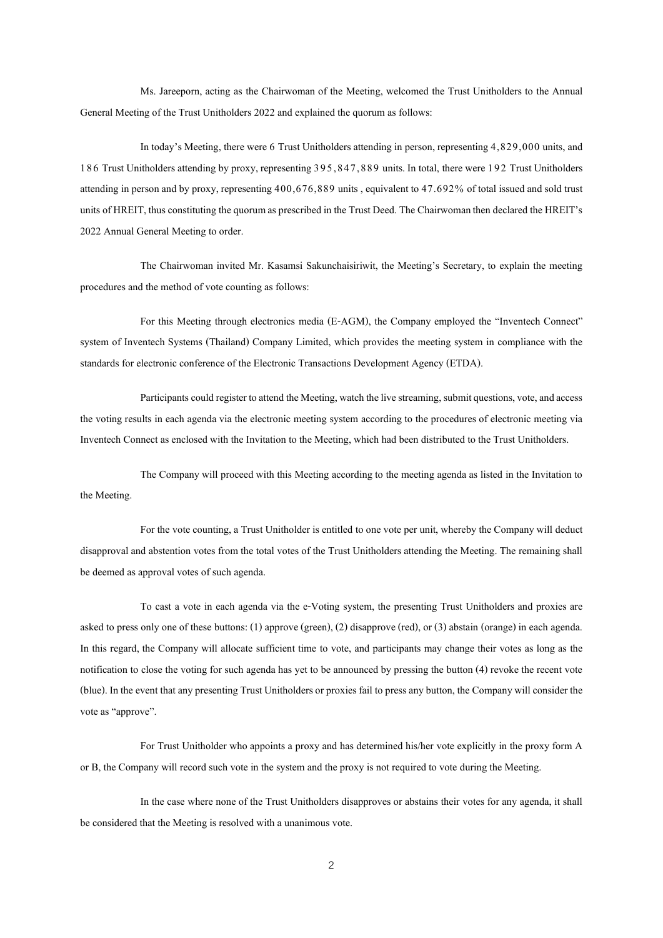Ms. Jareeporn, acting as the Chairwoman of the Meeting, welcomed the Trust Unitholders to the Annual General Meeting of the Trust Unitholders 2022 and explained the quorum as follows:

In today's Meeting, there were 6 Trust Unitholders attending in person, representing 4,829,000 units, and 186 Trust Unitholders attending by proxy, representing 395,847,889 units. In total, there were 192 Trust Unitholders attending in person and by proxy, representing 400,676,889 units , equivalent to 47.692% of total issued and sold trust units of HREIT, thus constituting the quorum as prescribed in the Trust Deed. The Chairwoman then declared the HREIT's 2022 Annual General Meeting to order.

The Chairwoman invited Mr. Kasamsi Sakunchaisiriwit, the Meeting's Secretary, to explain the meeting procedures and the method of vote counting as follows:

For this Meeting through electronics media (E-AGM), the Company employed the "Inventech Connect" system of Inventech Systems (Thailand) Company Limited, which provides the meeting system in compliance with the standards for electronic conference of the Electronic Transactions Development Agency (ETDA).

Participants could register to attend the Meeting, watch the live streaming, submit questions, vote, and access the voting results in each agenda via the electronic meeting system according to the procedures of electronic meeting via Inventech Connect as enclosed with the Invitation to the Meeting, which had been distributed to the Trust Unitholders.

The Company will proceed with this Meeting according to the meeting agenda as listed in the Invitation to the Meeting.

For the vote counting, a Trust Unitholder is entitled to one vote per unit, whereby the Company will deduct disapproval and abstention votes from the total votes of the Trust Unitholders attending the Meeting. The remaining shall be deemed as approval votes of such agenda.

To cast a vote in each agenda via the e-Voting system, the presenting Trust Unitholders and proxies are asked to press only one of these buttons: (1) approve (green), (2) disapprove (red), or (3) abstain (orange) in each agenda. In this regard, the Company will allocate sufficient time to vote, and participants may change their votes as long as the notification to close the voting for such agenda has yet to be announced by pressing the button (4) revoke the recent vote (blue). In the event that any presenting Trust Unitholders or proxies fail to press any button, the Company will consider the vote as "approve".

For Trust Unitholder who appoints a proxy and has determined his/her vote explicitly in the proxy form A or B, the Company will record such vote in the system and the proxy is not required to vote during the Meeting.

In the case where none of the Trust Unitholders disapproves or abstains their votes for any agenda, it shall be considered that the Meeting is resolved with a unanimous vote.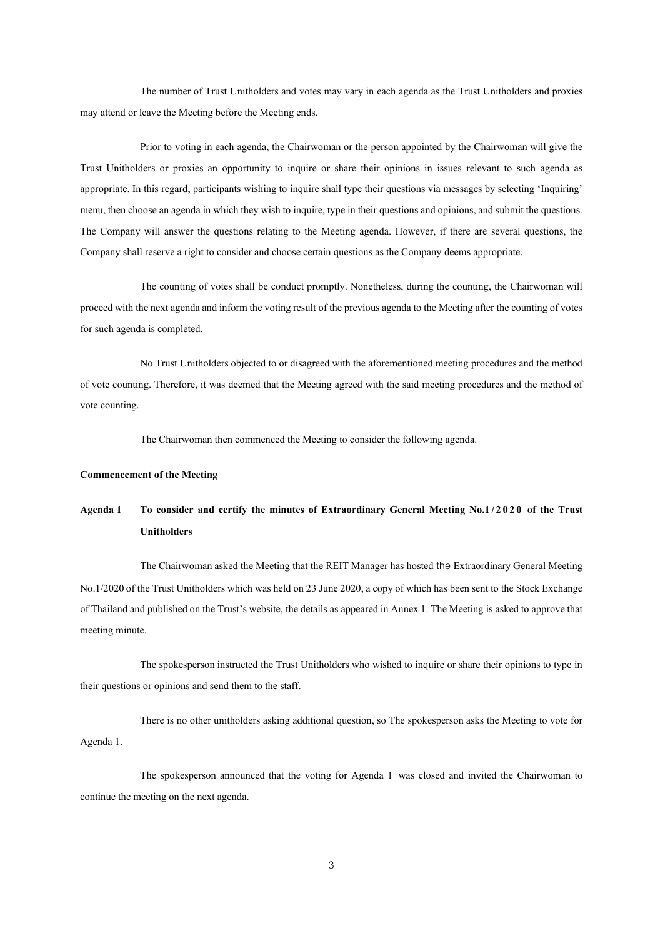The number of Trust Unitholders and votes may vary in each agenda as the Trust Unitholders and proxies may attend or leave the Meeting before the Meeting ends.

Prior to voting in each agenda, the Chairwoman or the person appointed by the Chairwoman will give the Trust Unitholders or proxies an opportunity to inquire or share their opinions in issues relevant to such agenda as appropriate. In this regard, participants wishing to inquire shall type their questions via messages by selecting 'Inquiring' menu, then choose an agenda in which they wish to inquire, type in their questions and opinions, and submit the questions. The Company will answer the questions relating to the Meeting agenda. However, if there are several questions, the Company shall reserve a right to consider and choose certain questions as the Company deems appropriate.

The counting of votes shall be conduct promptly. Nonetheless, during the counting, the Chairwoman will proceed with the next agenda and inform the voting result of the previous agenda to the Meeting after the counting of votes for such agenda is completed.

No Trust Unitholders objected to or disagreed with the aforementioned meeting procedures and the method of vote counting. Therefore, it was deemed that the Meeting agreed with the said meeting procedures and the method of vote counting.

The Chairwoman then commenced the Meeting to consider the following agenda.

### **Commencement of the Meeting**

# **Agenda 1 To consider and certify the minutes of Extraordinary General Meeting No.1/2020 of the Trust Unitholders**

The Chairwoman asked the Meeting that the REIT Manager has hosted the Extraordinary General Meeting No.1/2020 of the Trust Unitholders which was held on 23 June 2020, a copy of which has been sent to the Stock Exchange of Thailand and published on the Trust's website, the details as appeared in Annex 1. The Meetingis asked to approve that meeting minute.

The spokesperson instructed the Trust Unitholders who wished to inquire or share their opinions to type in their questions or opinions and send them to the staff.

There is no other unitholders asking additional question, so The spokesperson asks the Meeting to vote for Agenda 1.

The spokesperson announced that the voting for Agenda 1 was closed and invited the Chairwoman to continue the meeting on the next agenda.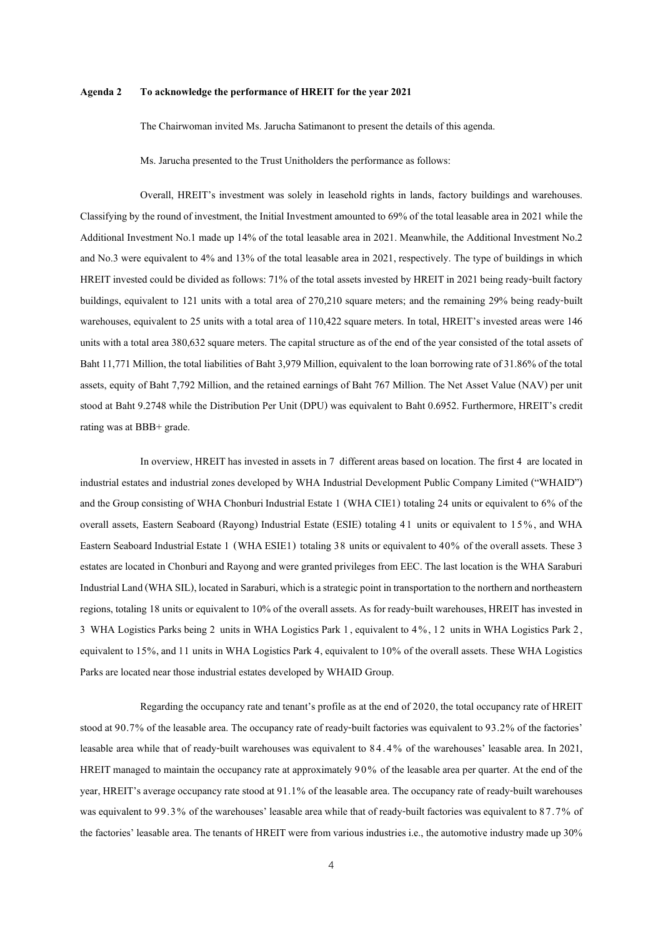#### **Agenda 2 To acknowledge the performance of HREIT for the year 2021**

The Chairwoman invited Ms. Jarucha Satimanont to present the details of this agenda.

Ms. Jarucha presented to the Trust Unitholders the performance as follows:

Overall, HREIT's investment was solely in leasehold rights in lands, factory buildings and warehouses. Classifying by the round of investment, the Initial Investment amounted to 69% of the total leasable area in 2021 while the Additional Investment No.1 made up 14% of the total leasable area in 2021. Meanwhile, the Additional Investment No.2 and No.3 were equivalent to 4% and 13% of the total leasable area in 2021, respectively. The type of buildings in which HREIT invested could be divided as follows: 71% of the total assets invested by HREIT in 2021 being ready-built factory buildings, equivalent to 121 units with a total area of 270,210 square meters; and the remaining 29% being ready-built warehouses, equivalent to 25 units with a total area of 110,422 square meters. In total, HREIT's invested areas were 146 units with a total area 380,632 square meters. The capital structure as of the end of the year consisted of the total assets of Baht 11,771 Million, the total liabilities of Baht 3,979 Million, equivalent to the loan borrowing rate of 31.86% of the total assets, equity of Baht 7,792 Million, and the retained earnings of Baht 767 Million. The Net Asset Value (NAV) per unit stood at Baht 9.2748 while the Distribution Per Unit (DPU) was equivalent to Baht 0.6952. Furthermore, HREIT's credit rating was at BBB+ grade.

In overview, HREIT has invested in assets in 7 different areas based on location. The first 4 are located in industrial estates and industrial zones developed by WHA Industrial Development Public Company Limited ("WHAID") and the Group consisting of WHA Chonburi Industrial Estate 1 (WHA CIE1) totaling 24 units or equivalent to 6% of the overall assets, Eastern Seaboard (Rayong) Industrial Estate (ESIE) totaling 41 units or equivalent to 15%, and WHA Eastern Seaboard Industrial Estate 1 (WHA ESIE1) totaling 38 units or equivalent to 40% of the overall assets. These 3 estates are located in Chonburi and Rayong and were granted privileges from EEC. The last location is the WHA Saraburi Industrial Land (WHA SIL), located in Saraburi, which is a strategic point in transportation to the northern and northeastern regions, totaling 18 units or equivalent to 10% of the overall assets. As for ready-built warehouses, HREIT has invested in 3 WHA Logistics Parks being 2 units in WHA Logistics Park 1, equivalent to 4 %, 12 units in WHA Logistics Park 2, equivalent to 15%, and 11 units in WHA Logistics Park 4, equivalent to 10% of the overall assets. These WHA Logistics Parks are located near those industrial estates developed by WHAID Group.

Regarding the occupancy rate and tenant's profile as at the end of 2020, the total occupancy rate of HREIT stood at 90.7% of the leasable area. The occupancy rate of ready-built factories was equivalent to 93.2% of the factories' leasable area while that of ready-built warehouses was equivalent to 84.4% of the warehouses' leasable area. In 2021, HREIT managed to maintain the occupancy rate at approximately 90% of the leasable area per quarter. At the end of the year, HREIT's average occupancy rate stood at 91.1% of the leasable area. The occupancy rate of ready-built warehouses was equivalent to 99.3% of the warehouses' leasable area while that of ready-built factories was equivalent to 87.7% of the factories' leasable area. The tenants of HREIT were from various industries i.e., the automotive industry made up 30%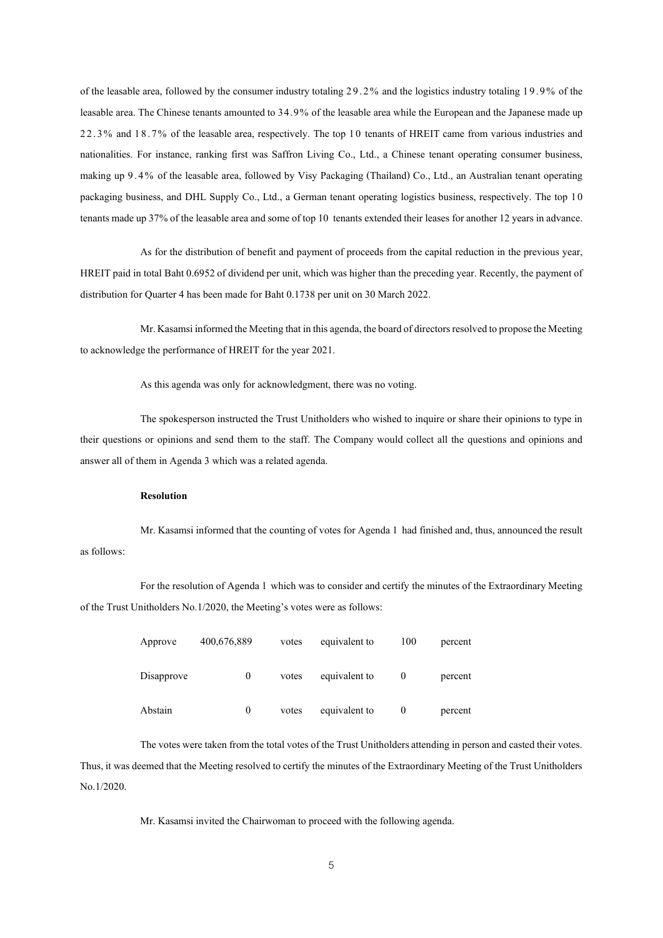of the leasable area, followed by the consumer industry totaling 29.2% and the logistics industry totaling 19.9% of the leasable area. The Chinese tenants amounted to 34.9% of the leasable area while the European and the Japanese made up 22.3% and 18.7% of the leasable area, respectively. The top 1 0 tenants of HREIT came from various industries and nationalities. For instance, ranking first was Saffron Living Co., Ltd., a Chinese tenant operating consumer business, making up 9.4% of the leasable area, followed by Visy Packaging (Thailand) Co., Ltd., an Australian tenant operating packaging business, and DHL Supply Co., Ltd., a German tenant operating logistics business, respectively. The top 10 tenants made up 37%of theleasable area and some of top 10 tenants extended their leases for another 12years in advance.

As for the distribution of benefit and payment of proceeds from the capital reduction in the previous year, HREIT paid in total Baht 0.6952 of dividend per unit, which was higher than the preceding year. Recently, the payment of distribution for Quarter 4 has been made for Baht 0.1738 per unit on 30 March 2022.

Mr. Kasamsi informed the Meeting that in thisagenda, the board of directors resolved to propose the Meeting to acknowledge the performance of HREIT for the year 2021.

As this agenda was only for acknowledgment, there was no voting.

The spokesperson instructed the Trust Unitholders who wished to inquire or share their opinions to type in their questions or opinions and send them to the staff. The Company would collect all the questions and opinions and answer all of them in Agenda 3 which was a related agenda.

#### **Resolution**

Mr. Kasamsi informed that the counting of votes for Agenda 1 had finished and, thus, announced the result as follows:

For the resolution of Agenda 1 which was to consider and certify the minutes of the Extraordinary Meeting of the Trust Unitholders No.1/2020, the Meeting's votes were as follows:

| Approve    | 400,676,889 | votes | equivalent to | 100      | percent |
|------------|-------------|-------|---------------|----------|---------|
| Disapprove | O           | votes | equivalent to | $\theta$ | percent |
| Abstain    | 0           | votes | equivalent to | $\theta$ | percent |

The votes were taken from the total votes of the Trust Unitholders attending in person and casted their votes. Thus, it was deemed that the Meeting resolved to certify the minutes of the Extraordinary Meeting of the Trust Unitholders No.1/2020.

Mr. Kasamsi invited the Chairwoman to proceed with the following agenda.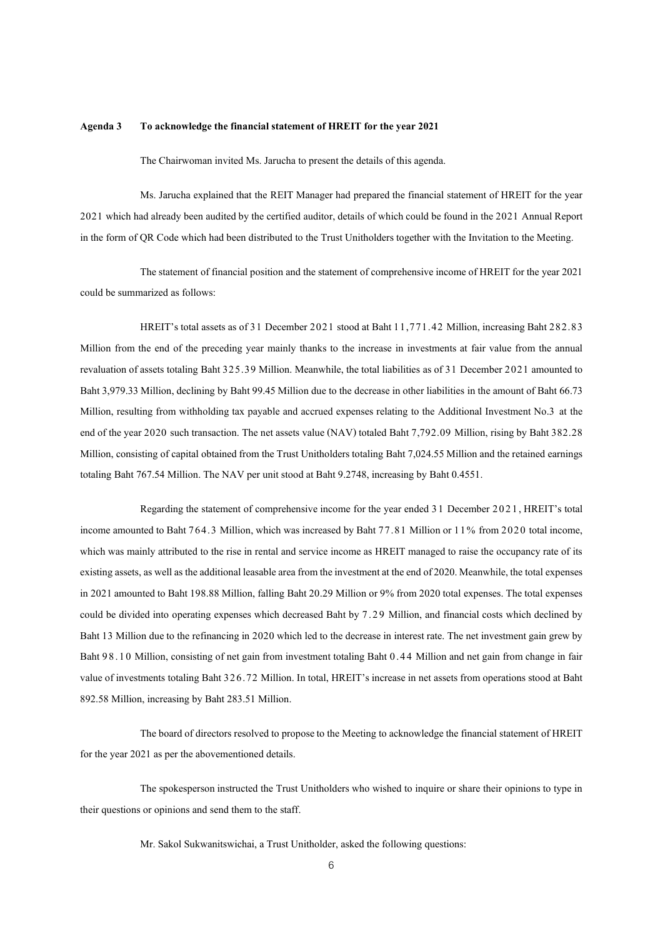#### **Agenda 3 To acknowledge the financial statement of HREIT for the year 2021**

The Chairwoman invited Ms. Jarucha to present the details of this agenda.

Ms. Jarucha explained that the REIT Manager had prepared the financial statement of HREIT for the year 2021 which had already been audited by the certified auditor, details of which could be found in the 2021 Annual Report in the form of QR Code which had been distributed to the Trust Unitholders together with the Invitation to the Meeting.

The statement of financial positionand the statement of comprehensive income of HREIT for the year 2021 could be summarized as follows:

HREIT's total assets as of 31 December 2021 stood at Baht 11,771.42 Million, increasing Baht 282.83 Million from the end of the preceding year mainly thanks to the increase in investments at fair value from the annual revaluation of assets totaling Baht 325.39 Million. Meanwhile, the total liabilities as of 31 December 2021 amounted to Baht 3,979.33 Million, declining by Baht 99.45 Million due to the decrease in other liabilities in the amount of Baht 66.73 Million, resulting from withholding tax payable and accrued expenses relating to the Additional Investment No.3 at the end of the year 2020 such transaction. The net assets value (NAV) totaled Baht 7,792.09 Million, rising by Baht 382.28 Million, consisting of capital obtained from the Trust Unitholders totaling Baht 7,024.55 Million and the retained earnings totaling Baht 767.54 Million. The NAV per unit stood at Baht 9.2748, increasing by Baht 0.4551.

Regarding the statement of comprehensive income for the year ended 3 1 December 2021, HREIT's total income amounted to Baht 764.3 Million, which was increased by Baht 77.81 Million or 11% from 2020 total income, which was mainly attributed to the rise in rental and service income as HREIT managed to raise the occupancy rate of its existing assets, as well as the additional leasable area from the investment at the end of 2020. Meanwhile, the total expenses in 2021 amounted to Baht 198.88 Million, falling Baht 20.29 Million or  $9\%$  from 2020 total expenses. The total expenses could be divided into operating expenses which decreased Baht by 7.29 Million, and financial costs which declined by Baht 13 Million due to the refinancing in 2020 which led to the decrease in interest rate. The net investment gain grew by Baht 98.10 Million, consisting of net gain from investment totaling Baht 0.44 Million and net gain from change in fair value of investments totaling Baht 326.72 Million. In total, HREIT's increase in net assets from operations stood at Baht 892.58 Million, increasing by Baht 283.51 Million.

The board of directors resolved to propose to the Meeting to acknowledge the financial statement of HREIT for the year 2021 as per the abovementioned details.

The spokesperson instructed the Trust Unitholders who wished to inquire or share their opinions to type in their questions or opinions and send them to the staff.

Mr. Sakol Sukwanitswichai, a Trust Unitholder, asked the following questions: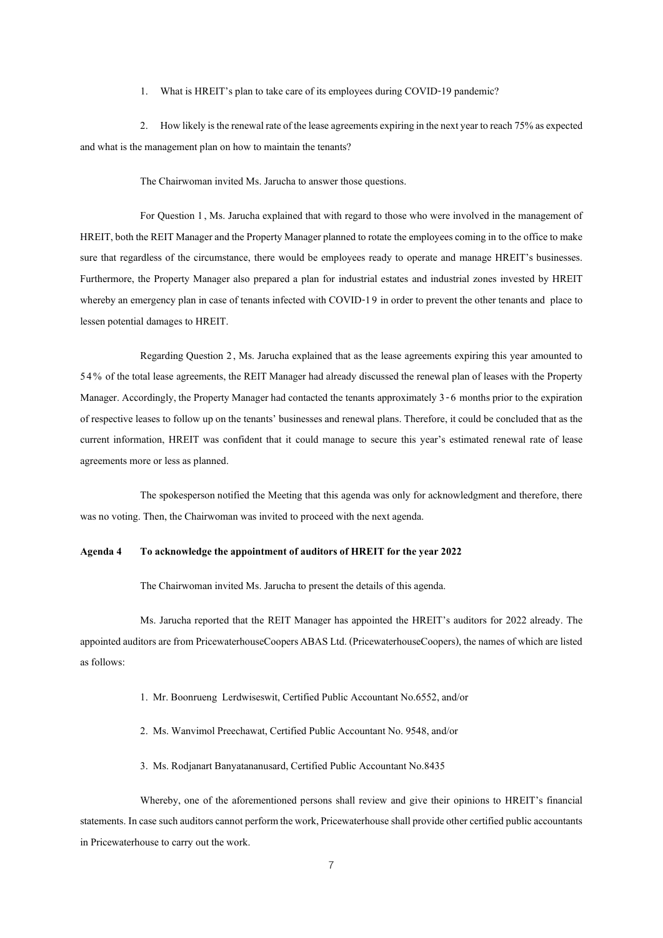1. What is HREIT's plan to take care of its employees during COVID-19 pandemic?

2. How likely is the renewal rate of the lease agreements expiring in the next year to reach 75% as expected and what is the management plan on how to maintain the tenants?

The Chairwoman invited Ms. Jarucha to answer those questions.

For Question 1, Ms. Jarucha explained that with regard to those who were involved in the management of HREIT, both the REIT Manager and the Property Manager planned to rotate the employees coming in to the office to make sure that regardless of the circumstance, there would be employees ready to operate and manage HREIT's businesses. Furthermore, the Property Manager also prepared a plan for industrial estates and industrial zones invested by HREIT whereby an emergency plan in case of tenants infected with COVID-19 in order to prevent the other tenants and place to lessen potential damages to HREIT.

Regarding Question 2, Ms. Jarucha explained that as the lease agreements expiring this year amounted to 54% of the total lease agreements, the REIT Manager had already discussed the renewal plan of leases with the Property Manager. Accordingly, the Property Manager had contacted the tenants approximately 3-6 months prior to the expiration of respective leases to follow up on the tenants' businesses and renewal plans. Therefore, it could be concluded that as the current information, HREIT was confident that it could manage to secure this year's estimated renewal rate of lease agreements more or less as planned.

The spokesperson notified the Meeting that this agenda was only for acknowledgment and therefore, there was no voting. Then, the Chairwoman was invited to proceed with the next agenda.

#### **Agenda 4 To acknowledge the appointment of auditors of HREIT for the year 2022**

The Chairwoman invited Ms. Jarucha to present the details of this agenda.

Ms. Jarucha reported that the REIT Manager has appointed the HREIT's auditors for 2022 already. The appointed auditors are from PricewaterhouseCoopers ABAS Ltd. (PricewaterhouseCoopers), the names of which are listed as follows:

- 1. Mr. Boonrueng Lerdwiseswit, Certified Public Accountant No.6552, and/or
- 2. Ms. Wanvimol Preechawat, Certified Public Accountant No. 9548, and/or
- 3. Ms. Rodjanart Banyatananusard, Certified Public Accountant No.8435

Whereby, one of the aforementioned persons shall review and give their opinions to HREIT's financial statements. In case such auditors cannot perform the work, Pricewaterhouse shall provide other certified public accountants in Pricewaterhouse to carry out the work.